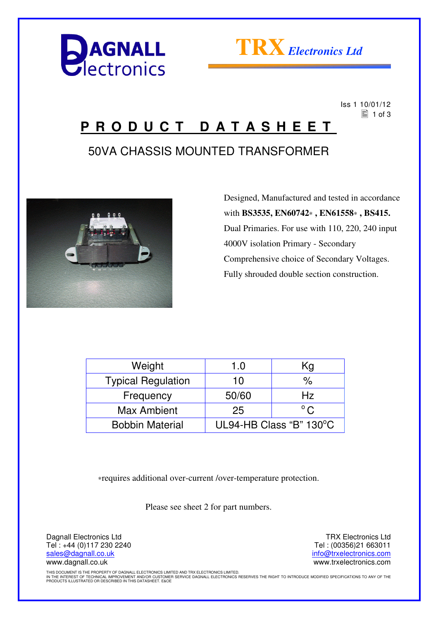



 Iss 1 10/01/12  $\equiv$  1 of 3

### **P R O D U C T D A T A S H E E T**

### 50VA CHASSIS MOUNTED TRANSFORMER



 Designed, Manufactured and tested in accordance with **BS3535, EN60742**∗ **, EN61558**∗ **, BS415.** Dual Primaries. For use with 110, 220, 240 input 4000V isolation Primary - Secondary Comprehensive choice of Secondary Voltages. Fully shrouded double section construction.

| Weight                    | 1.0                     | Kg            |
|---------------------------|-------------------------|---------------|
| <b>Typical Regulation</b> | 10                      | %             |
| Frequency                 | 50/60                   | Hz            |
| <b>Max Ambient</b>        | 25                      | $^{\circ}$ C. |
| <b>Bobbin Material</b>    | UL94-HB Class "B" 130°C |               |

∗requires additional over-current /over-temperature protection.

Please see sheet 2 for part numbers.

Dagnall Electronics Ltd Tel : +44 (0)117 230 2240 sales@dagnall.co.uk www.dagnall.co.uk

TRX Electronics Ltd Tel : (00356)21 663011 info@trxelectronics.com www.trxelectronics.com

THIS DOCUMENT IS THE PROPERTY OF DAGNALL ELECTRONICS LIMITED AND TRX ELECTRONICS LIMITED.<br>IN THE INTEREST OF TECHNICAL IMPROVEMENT AND/OR CUSTOMER SERVICE DAGNALL ELECTRONICS RESERVES THE RIGHT TO INTRODUCE MODIFIED SPECIF PRODUCTS ILLUSTRATED OR DESCRIBED IN THIS DATASHEET. E&OE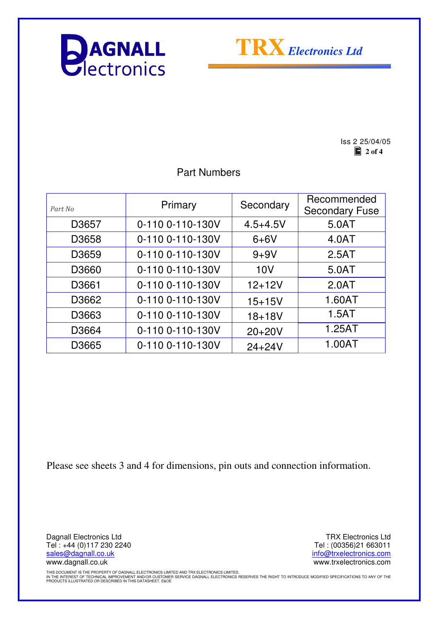



Iss 2 25/04/05  $\Box$  2 of 4

Part Numbers

| Part No           | Primary          | Secondary    | Recommended<br><b>Secondary Fuse</b> |
|-------------------|------------------|--------------|--------------------------------------|
| D <sub>3657</sub> | 0-110 0-110-130V | $4.5 + 4.5V$ | 5.0AT                                |
| D3658             | 0-110 0-110-130V | $6+6V$       | 4.0AT                                |
| D <sub>3659</sub> | 0-110 0-110-130V | $9 + 9V$     | 2.5AT                                |
| D3660             | 0-110 0-110-130V | 10V          | 5.0AT                                |
| D3661             | 0-110 0-110-130V | $12 + 12V$   | 2.0AT                                |
| D3662             | 0-110 0-110-130V | $15 + 15V$   | 1.60AT                               |
| D3663             | 0-110 0-110-130V | $18 + 18V$   | 1.5AT                                |
| D3664             | 0-110 0-110-130V | $20+20V$     | 1.25AT                               |
| D3665             | 0-110 0-110-130V | $24 + 24V$   | 1.00AT                               |
|                   |                  |              |                                      |

Please see sheets 3 and 4 for dimensions, pin outs and connection information.

Dagnall Electronics Ltd Tel : +44 (0)117 230 2240 sales@dagnall.co.uk www.dagnall.co.uk

TRX Electronics Ltd Tel : (00356)21 663011 info@trxelectronics.com www.trxelectronics.com

THIS DOCUMENT IS THE PROPERTY OF DAGNALL ELECTRONICS LIMITED AND TRX ELECTRONICS LIMITED.<br>IN THE INTEREST OF TECHNICAL IMPROVEMENT AND/OR CUSTOMER SERVICE DAGNALL ELECTRONICS RESERVES THE RIGHT TO INTRODUCE MODIFIED SPECIF PRODUCTS ILLUSTRATED OR DESCRIBED IN THIS DATASHEET. E&OE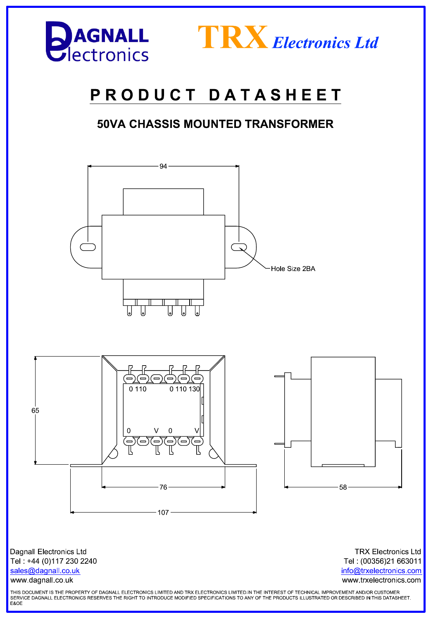



# PRODUCT DATASHEET

#### **50VA CHASSIS MOUNTED TRANSFORMER**



www.dagnall.co.uk

Tel: (00356)21 663011 info@trxelectronics.com www.trxelectronics.com

THIS DOCUMENT IS THE PROPERTY OF DAGNALL ELECTRONICS LIMITED AND TRX ELECTRONICS LIMITED.IN THE INTEREST OF TECHNICAL IMPROVEMENT AND/OR CUSTOMER SERVICE DAGNALL ELECTRONICS RESERVES THE RIGHT TO INTRODUCE MODIFIED SPECIFICATIONS TO ANY OF THE PRODUCTS ILLUSTRATED OR DESCRIBED IN THIS DATASHEET.<br>E&OE